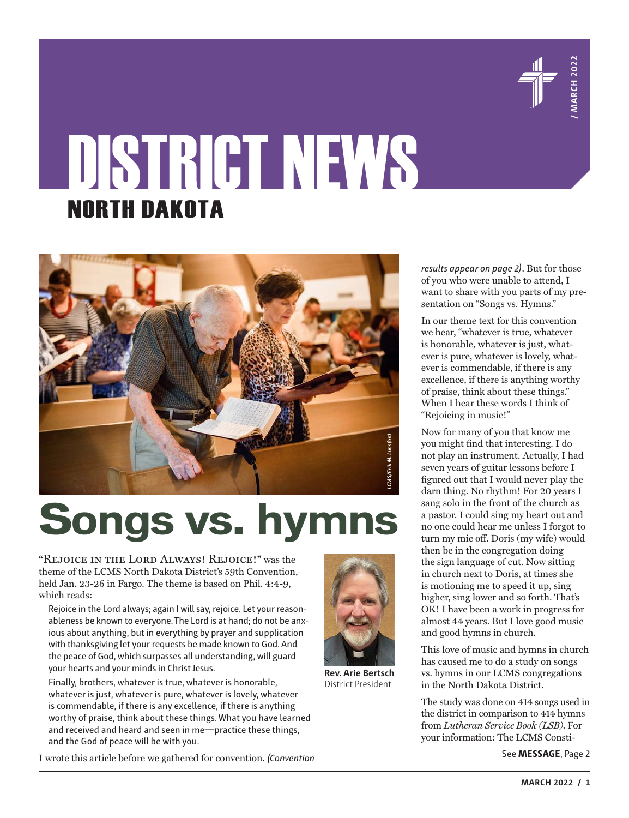

# DISTRICT NEWS NORTH DAKOTA



# **Songs vs. hymns**

"Rejoice in the Lord Always! Rejoice!" was the theme of the LCMS North Dakota District's 59th Convention, held Jan. 23-26 in Fargo. The theme is based on Phil. 4:4-9, which reads:

Rejoice in the Lord always; again I will say, rejoice. Let your reasonableness be known to everyone. The Lord is at hand; do not be anxious about anything, but in everything by prayer and supplication with thanksgiving let your requests be made known to God. And the peace of God, which surpasses all understanding, will guard your hearts and your minds in Christ Jesus.

Finally, brothers, whatever is true, whatever is honorable, whatever is just, whatever is pure, whatever is lovely, whatever is commendable, if there is any excellence, if there is anything worthy of praise, think about these things. What you have learned and received and heard and seen in me—practice these things, and the God of peace will be with you.

I wrote this article before we gathered for convention. *(Convention* 



**Rev. Arie Bertsch** District President

*results appear on page 2)*. But for those of you who were unable to attend, I want to share with you parts of my presentation on "Songs vs. Hymns."

In our theme text for this convention we hear, "whatever is true, whatever is honorable, whatever is just, whatever is pure, whatever is lovely, whatever is commendable, if there is any excellence, if there is anything worthy of praise, think about these things." When I hear these words I think of "Rejoicing in music!"

**March 2022**<br> **March 2022**<br> **March 2022**<br> **March 2022**<br> **March 2022**<br> **March 2022**<br> **March 2022**<br> **March 2022**<br> **MARCH 2022**<br> **MARCH 2022**<br> **MARCH 2022**<br> **MARCH 2022**<br> **MARCH 2022**<br> **MARCH 2022**<br> **MARCH 2022**<br> **MARCH 2022** Now for many of you that know me you might find that interesting. I do not play an instrument. Actually, I had seven years of guitar lessons before I figured out that I would never play the darn thing. No rhythm! For 20 years I sang solo in the front of the church as a pastor. I could sing my heart out and no one could hear me unless I forgot to turn my mic off. Doris (my wife) would then be in the congregation doing the sign language of cut. Now sitting in church next to Doris, at times she is motioning me to speed it up, sing higher, sing lower and so forth. That's OK! I have been a work in progress for almost 44 years. But I love good music and good hymns in church.

This love of music and hymns in church has caused me to do a study on songs vs. hymns in our LCMS congregations in the North Dakota District.

The study was done on 414 songs used in the district in comparison to 414 hymns from *Lutheran Service Book (LSB)*. For your information: The LCMS Consti-

See **MESSAGE**, Page 2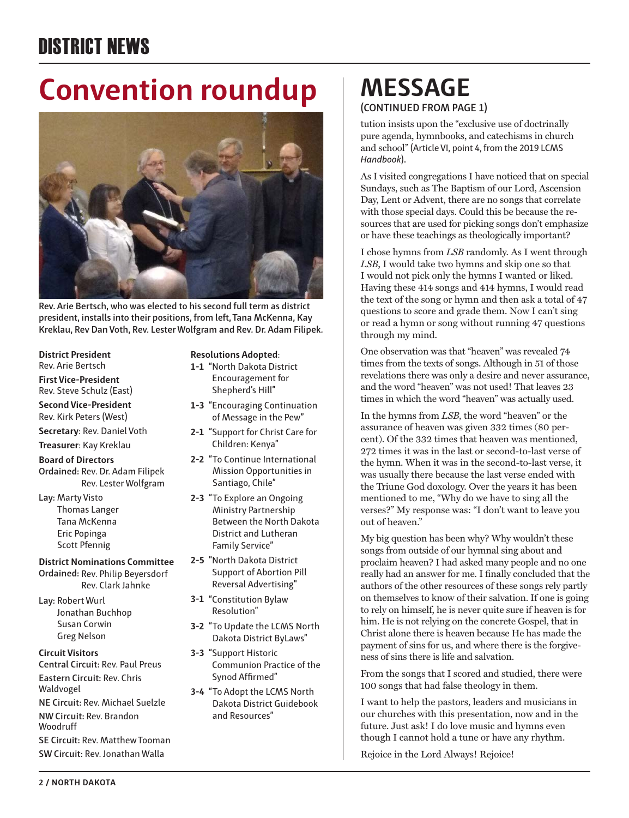## DISTRICT NEWS

## **Convention roundup**



**Rev. Arie Bertsch, who was elected to his second full term as district president, installs into their positions, from left, Tana McKenna, Kay Kreklau, Rev Dan Voth, Rev. Lester Wolfgram and Rev. Dr. Adam Filipek.**

#### **District President**

Rev. Arie Bertsch **First Vice-President**

Rev. Steve Schulz (East)

**Second Vice-President**  Rev. Kirk Peters (West)

**Secretary**: Rev. Daniel Voth

**Treasurer**: Kay Kreklau

**Board of Directors Ordained:** Rev. Dr. Adam Filipek Rev. Lester Wolfgram

- **Lay:** Marty Visto Thomas Langer Tana McKenna Eric Popinga Scott Pfennig
- **District Nominations Committee Ordained:** Rev. Philip Beyersdorf Rev. Clark Jahnke
- **Lay:** Robert Wurl Jonathan Buchhop Susan Corwin Greg Nelson

**Circuit Visitors Central Circuit:** Rev. Paul Preus

**Eastern Circuit:** Rev. Chris Waldvogel

**NE Circuit:** Rev. Michael Suelzle **NW Circuit:** Rev. Brandon Woodruff

**SE Circuit:** Rev. Matthew Tooman **SW Circuit:** Rev. Jonathan Walla

#### **Resolutions Adopted**:

- **1-1** "North Dakota District Encouragement for Shepherd's Hill"
- **1-3** "Encouraging Continuation of Message in the Pew"
- **2-1** "Support for Christ Care for Children: Kenya"
- **2-2** "To Continue International Mission Opportunities in Santiago, Chile"
- **2-3** "To Explore an Ongoing Ministry Partnership Between the North Dakota District and Lutheran Family Service"
- **2-5** "North Dakota District Support of Abortion Pill Reversal Advertising"
- **3-1** "Constitution Bylaw Resolution"
- **3-2** "To Update the LCMS North Dakota District ByLaws"
- **3-3** "Support Historic Communion Practice of the Synod Affirmed"
- **3-4** "To Adopt the LCMS North Dakota District Guidebook and Resources"

### **MESSAGE (CONTINUED FROM PAGE 1)**

tution insists upon the "exclusive use of doctrinally pure agenda, hymnbooks, and catechisms in church and school" (Article VI, point 4, from the 2019 LCMS *Handbook*).

As I visited congregations I have noticed that on special Sundays, such as The Baptism of our Lord, Ascension Day, Lent or Advent, there are no songs that correlate with those special days. Could this be because the resources that are used for picking songs don't emphasize or have these teachings as theologically important?

I chose hymns from *LSB* randomly. As I went through *LSB*, I would take two hymns and skip one so that I would not pick only the hymns I wanted or liked. Having these 414 songs and 414 hymns, I would read the text of the song or hymn and then ask a total of 47 questions to score and grade them. Now I can't sing or read a hymn or song without running 47 questions through my mind.

One observation was that "heaven" was revealed 74 times from the texts of songs. Although in 51 of those revelations there was only a desire and never assurance, and the word "heaven" was not used! That leaves 23 times in which the word "heaven" was actually used.

In the hymns from *LSB,* the word "heaven" or the assurance of heaven was given 332 times (80 percent). Of the 332 times that heaven was mentioned, 272 times it was in the last or second-to-last verse of the hymn. When it was in the second-to-last verse, it was usually there because the last verse ended with the Triune God doxology. Over the years it has been mentioned to me, "Why do we have to sing all the verses?" My response was: "I don't want to leave you out of heaven."

My big question has been why? Why wouldn't these songs from outside of our hymnal sing about and proclaim heaven? I had asked many people and no one really had an answer for me. I finally concluded that the authors of the other resources of these songs rely partly on themselves to know of their salvation. If one is going to rely on himself, he is never quite sure if heaven is for him. He is not relying on the concrete Gospel, that in Christ alone there is heaven because He has made the payment of sins for us, and where there is the forgiveness of sins there is life and salvation.

From the songs that I scored and studied, there were 100 songs that had false theology in them.

I want to help the pastors, leaders and musicians in our churches with this presentation, now and in the future. Just ask! I do love music and hymns even though I cannot hold a tune or have any rhythm.

Rejoice in the Lord Always! Rejoice!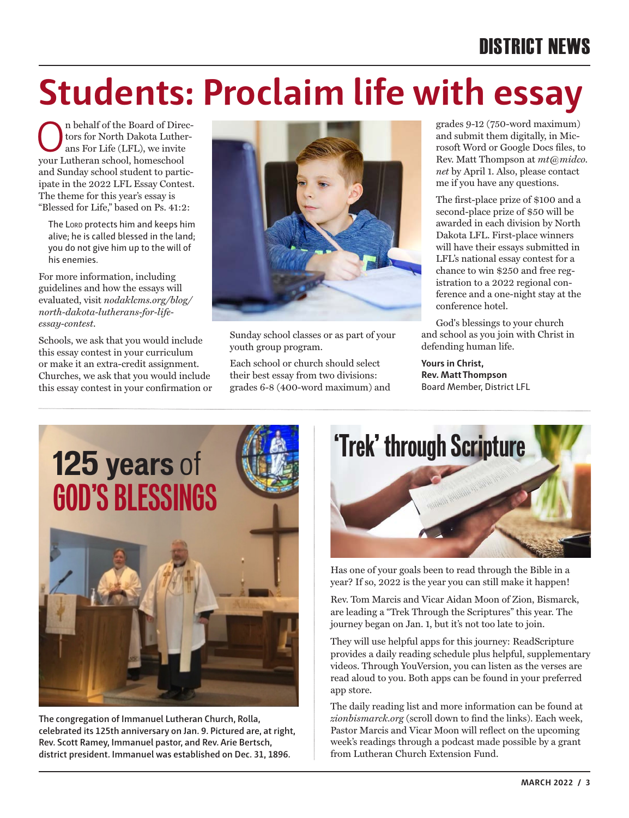## DISTRICT NEWS

# **Students: Proclaim life with essay**

 $\sum_{\text{tors for North Dakota Luther-}}$ h behalf of the Board of Direc-<br>ans For Life (LFL), we invite<br>vour I utheran school homeschool tors for North Dakota Lutherans For Life (LFL), we invite your Lutheran school, homeschool and Sunday school student to participate in the 2022 LFL Essay Contest. The theme for this year's essay is "Blessed for Life," based on Ps. 41:2:

The Loro protects him and keeps him alive; he is called blessed in the land; you do not give him up to the will of his enemies.

For more information, including guidelines and how the essays will evaluated, visit *nodaklcms.org/blog/ north-dakota-lutherans-for-lifeessay-contest*.

Schools, we ask that you would include this essay contest in your curriculum or make it an extra-credit assignment. Churches, we ask that you would include this essay contest in your confirmation or



Sunday school classes or as part of your youth group program.

Each school or church should select their best essay from two divisions: grades 6-8 (400-word maximum) and grades 9-12 (750-word maximum) and submit them digitally, in Microsoft Word or Google Docs files, to Rev. Matt Thompson at *mt@midco. net* by April 1. Also, please contact me if you have any questions.

The first-place prize of \$100 and a second-place prize of \$50 will be awarded in each division by North Dakota LFL. First-place winners will have their essays submitted in LFL's national essay contest for a chance to win \$250 and free registration to a 2022 regional conference and a one-night stay at the conference hotel.

God's blessings to your church and school as you join with Christ in defending human life.

**Yours in Christ, Rev. Matt Thompson** Board Member, District LFL



**The congregation of Immanuel Lutheran Church, Rolla, celebrated its 125th anniversary on Jan. 9. Pictured are, at right, Rev. Scott Ramey, Immanuel pastor, and Rev. Arie Bertsch, district president. Immanuel was established on Dec. 31, 1896.**



Has one of your goals been to read through the Bible in a year? If so, 2022 is the year you can still make it happen!

Rev. Tom Marcis and Vicar Aidan Moon of Zion, Bismarck, are leading a "Trek Through the Scriptures" this year. The journey began on Jan. 1, but it's not too late to join.

They will use helpful apps for this journey: ReadScripture provides a daily reading schedule plus helpful, supplementary videos. Through YouVersion, you can listen as the verses are read aloud to you. Both apps can be found in your preferred app store.

The daily reading list and more information can be found at *zionbismarck.org* (scroll down to find the links). Each week, Pastor Marcis and Vicar Moon will reflect on the upcoming week's readings through a podcast made possible by a grant from Lutheran Church Extension Fund.